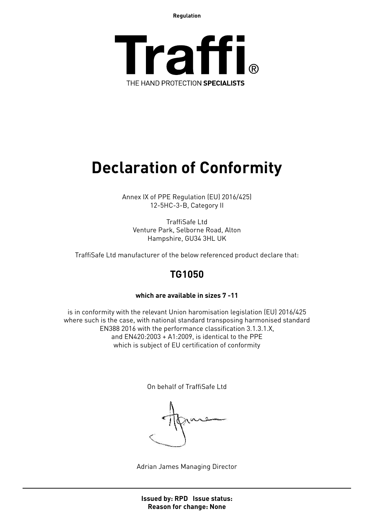**Regulation**



# **Declaration of Conformity**

Annex IX of PPE Regulation (EU) 2016/425) 12-5HC-3-B, Category II

TraffiSafe Ltd Venture Park, Selborne Road, Alton Hampshire, GU34 3HL UK

TraffiSafe Ltd manufacturer of the below referenced product declare that:

### **TG1050**

### **which are available in sizes 7 -11**

is in conformity with the relevant Union haromisation legislation (EU) 2016/425 where such is the case, with national standard transposing harmonised standard EN388 2016 with the performance classification 3.1.3.1.X, and EN420:2003 + A1:2009, is identical to the PPE which is subject of EU certification of conformity

On behalf of TraffiSafe Ltd

Adrian James Managing Director

**Issued by: RPD Issue status: Reason for change: None**